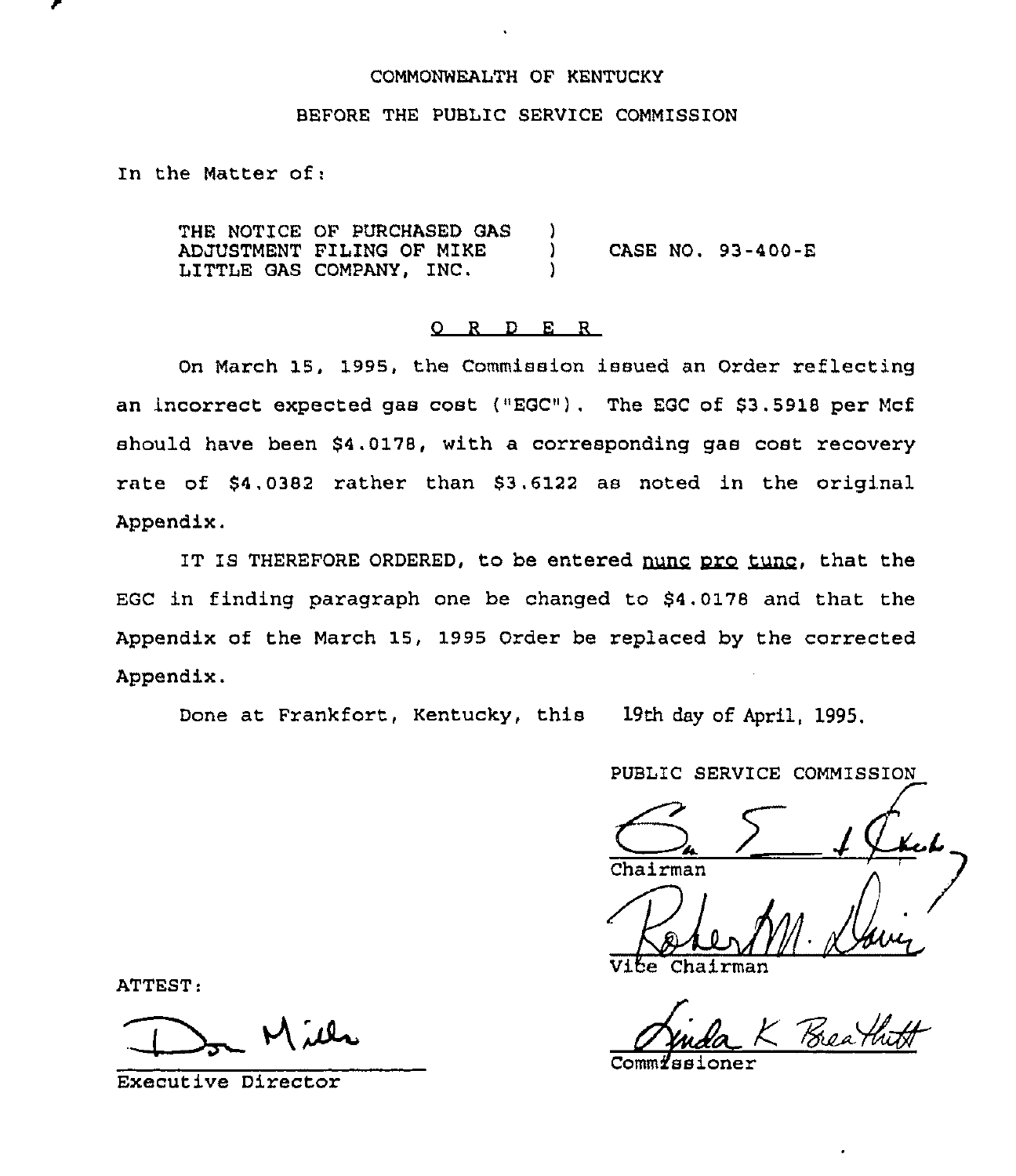# COMMONWEALTH OF KENTUCKY

### BEFORE THE PUBLIC SERVICE COMMISSION

In the Matter of:

THE NOTICE OF PURCHASED GAS )<br>ADJUSTMENT FILING OF MIKE ADJUSTMENT FILING OF MIKE ) CASE NO. 93-400-E LITTLE GAS COMPANY, INC.

# 0 <sup>R</sup> <sup>D</sup> E <sup>R</sup>

On March 15, 1995, the Commission issued an Order reflecting an incorrect expected gas cost {"EGC"). The EGC of \$3.5918 per Mcf should have been \$4.0178, with a corresponding gas cost recovery rate of \$4.0382 rather than \$3,6122 as noted in the original Appendix.

IT IS THEREFORE ORDERED, to be entered nunc pro tunc, that the EGC in finding paragraph one be changed to \$4.0178 and that the Appendix of the March 15, 1995 Order be replaced by the corrected Appendix.

Done at Frankfort, Kentucky, this 19th day of April, 1995.

PUBLIC SERVICE COMMISSION

Chairman

Chairman

Comm*i*ssione

ATTEST:

Executive Director